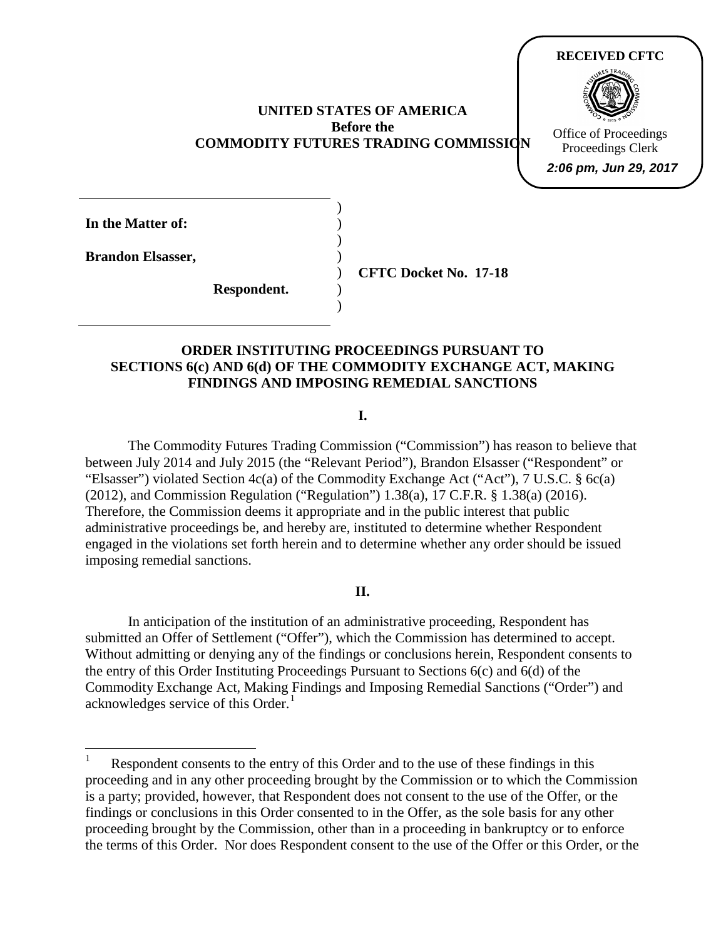# **UNITED STATES OF AMERICA Before the COMMODITY FUTURES TRADING COMMISSION**

) ) ) ) ) ) )



| In the Matter of:        |  |
|--------------------------|--|
| <b>Brandon Elsasser,</b> |  |

**Respondent.** 

**CFTC Docket No. 17-18**

## **ORDER INSTITUTING PROCEEDINGS PURSUANT TO SECTIONS 6(c) AND 6(d) OF THE COMMODITY EXCHANGE ACT, MAKING FINDINGS AND IMPOSING REMEDIAL SANCTIONS**

**I.**

The Commodity Futures Trading Commission ("Commission") has reason to believe that between July 2014 and July 2015 (the "Relevant Period"), Brandon Elsasser ("Respondent" or "Elsasser") violated Section  $4c(a)$  of the Commodity Exchange Act ("Act"), 7 U.S.C. § 6c(a) (2012), and Commission Regulation ("Regulation") 1.38(a), 17 C.F.R. § 1.38(a) (2016). Therefore, the Commission deems it appropriate and in the public interest that public administrative proceedings be, and hereby are, instituted to determine whether Respondent engaged in the violations set forth herein and to determine whether any order should be issued imposing remedial sanctions.

# **II.**

 In anticipation of the institution of an administrative proceeding, Respondent has submitted an Offer of Settlement ("Offer"), which the Commission has determined to accept. Without admitting or denying any of the findings or conclusions herein, Respondent consents to the entry of this Order Instituting Proceedings Pursuant to Sections 6(c) and 6(d) of the Commodity Exchange Act, Making Findings and Imposing Remedial Sanctions ("Order") and acknowledges service of this Order.<sup>[1](#page-0-0)</sup>

<span id="page-0-0"></span> $\overline{a}$ 1 Respondent consents to the entry of this Order and to the use of these findings in this proceeding and in any other proceeding brought by the Commission or to which the Commission is a party; provided, however, that Respondent does not consent to the use of the Offer, or the findings or conclusions in this Order consented to in the Offer, as the sole basis for any other proceeding brought by the Commission, other than in a proceeding in bankruptcy or to enforce the terms of this Order. Nor does Respondent consent to the use of the Offer or this Order, or the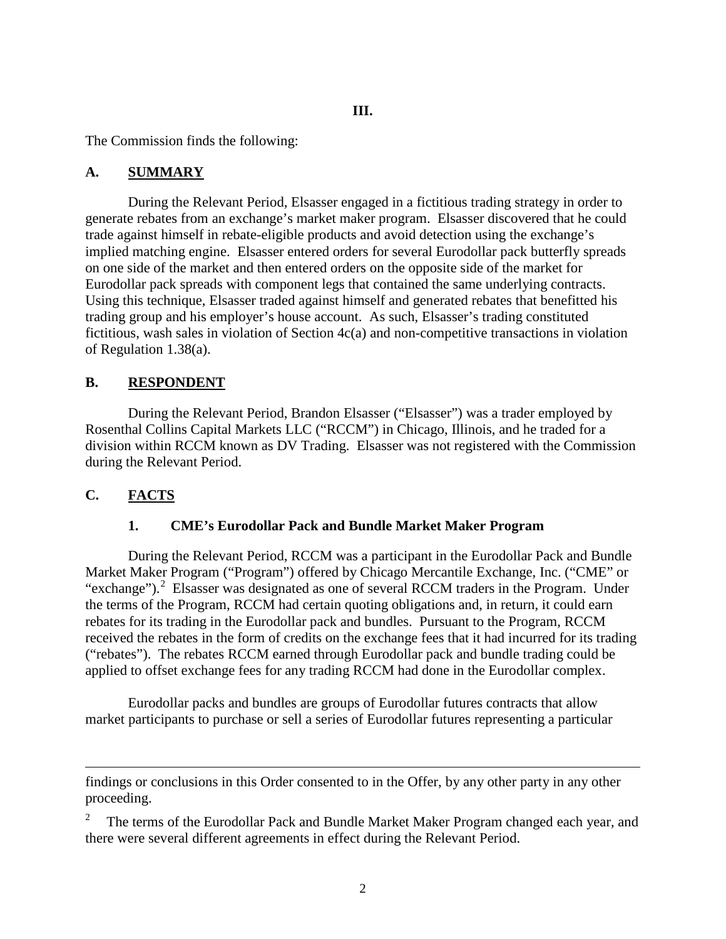## **III.**

The Commission finds the following:

# **A. SUMMARY**

During the Relevant Period, Elsasser engaged in a fictitious trading strategy in order to generate rebates from an exchange's market maker program. Elsasser discovered that he could trade against himself in rebate-eligible products and avoid detection using the exchange's implied matching engine. Elsasser entered orders for several Eurodollar pack butterfly spreads on one side of the market and then entered orders on the opposite side of the market for Eurodollar pack spreads with component legs that contained the same underlying contracts. Using this technique, Elsasser traded against himself and generated rebates that benefitted his trading group and his employer's house account. As such, Elsasser's trading constituted fictitious, wash sales in violation of Section 4c(a) and non-competitive transactions in violation of Regulation 1.38(a).

## **B. RESPONDENT**

During the Relevant Period, Brandon Elsasser ("Elsasser") was a trader employed by Rosenthal Collins Capital Markets LLC ("RCCM") in Chicago, Illinois, and he traded for a division within RCCM known as DV Trading. Elsasser was not registered with the Commission during the Relevant Period.

# **C. FACTS**

 $\overline{a}$ 

## **1. CME's Eurodollar Pack and Bundle Market Maker Program**

During the Relevant Period, RCCM was a participant in the Eurodollar Pack and Bundle Market Maker Program ("Program") offered by Chicago Mercantile Exchange, Inc. ("CME" or "exchange").<sup>[2](#page-1-0)</sup> Elsasser was designated as one of several RCCM traders in the Program. Under the terms of the Program, RCCM had certain quoting obligations and, in return, it could earn rebates for its trading in the Eurodollar pack and bundles. Pursuant to the Program, RCCM received the rebates in the form of credits on the exchange fees that it had incurred for its trading ("rebates"). The rebates RCCM earned through Eurodollar pack and bundle trading could be applied to offset exchange fees for any trading RCCM had done in the Eurodollar complex.

Eurodollar packs and bundles are groups of Eurodollar futures contracts that allow market participants to purchase or sell a series of Eurodollar futures representing a particular

findings or conclusions in this Order consented to in the Offer, by any other party in any other proceeding.

<span id="page-1-0"></span><sup>2</sup> The terms of the Eurodollar Pack and Bundle Market Maker Program changed each year, and there were several different agreements in effect during the Relevant Period.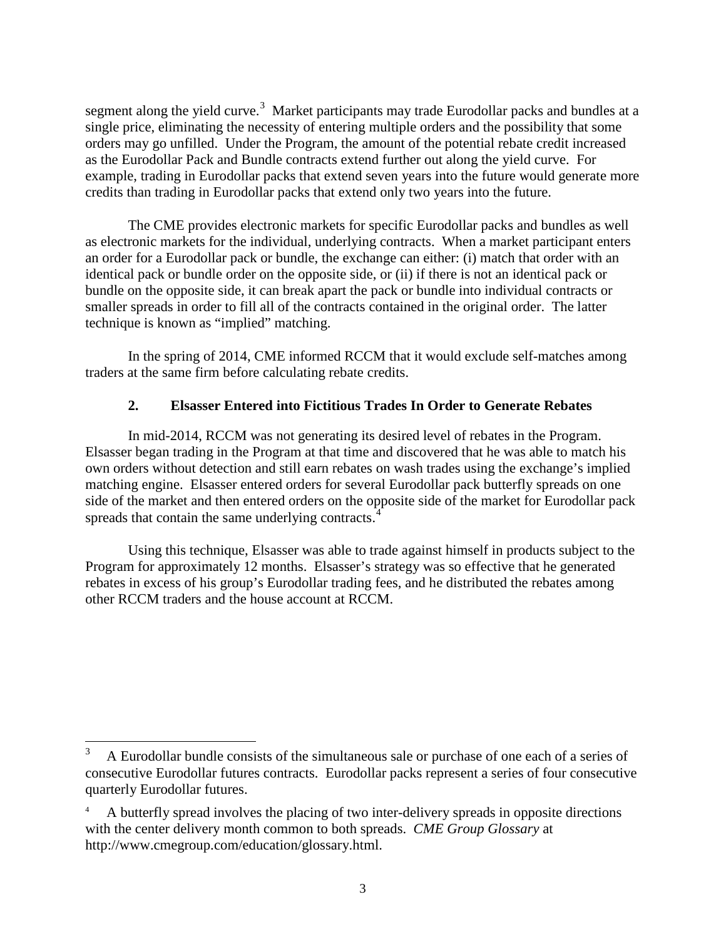segment along the yield curve.<sup>[3](#page-2-0)</sup> Market participants may trade Eurodollar packs and bundles at a single price, eliminating the necessity of entering multiple orders and the possibility that some orders may go unfilled. Under the Program, the amount of the potential rebate credit increased as the Eurodollar Pack and Bundle contracts extend further out along the yield curve. For example, trading in Eurodollar packs that extend seven years into the future would generate more credits than trading in Eurodollar packs that extend only two years into the future.

The CME provides electronic markets for specific Eurodollar packs and bundles as well as electronic markets for the individual, underlying contracts. When a market participant enters an order for a Eurodollar pack or bundle, the exchange can either: (i) match that order with an identical pack or bundle order on the opposite side, or (ii) if there is not an identical pack or bundle on the opposite side, it can break apart the pack or bundle into individual contracts or smaller spreads in order to fill all of the contracts contained in the original order. The latter technique is known as "implied" matching.

In the spring of 2014, CME informed RCCM that it would exclude self-matches among traders at the same firm before calculating rebate credits.

# **2. Elsasser Entered into Fictitious Trades In Order to Generate Rebates**

In mid-2014, RCCM was not generating its desired level of rebates in the Program. Elsasser began trading in the Program at that time and discovered that he was able to match his own orders without detection and still earn rebates on wash trades using the exchange's implied matching engine. Elsasser entered orders for several Eurodollar pack butterfly spreads on one side of the market and then entered orders on the opposite side of the market for Eurodollar pack spreads that contain the same underlying contracts.<sup>[4](#page-2-1)</sup>

Using this technique, Elsasser was able to trade against himself in products subject to the Program for approximately 12 months. Elsasser's strategy was so effective that he generated rebates in excess of his group's Eurodollar trading fees, and he distributed the rebates among other RCCM traders and the house account at RCCM.

<span id="page-2-0"></span> $\frac{1}{3}$  A Eurodollar bundle consists of the simultaneous sale or purchase of one each of a series of consecutive Eurodollar futures contracts. Eurodollar packs represent a series of four consecutive quarterly Eurodollar futures.

<span id="page-2-1"></span><sup>4</sup> A butterfly spread involves the placing of two inter-delivery spreads in opposite directions with the center delivery month common to both spreads. *CME Group Glossary* at [http://www.cmegroup.com/education/glossary.html.](http://www.cmegroup.com/education/glossary.html)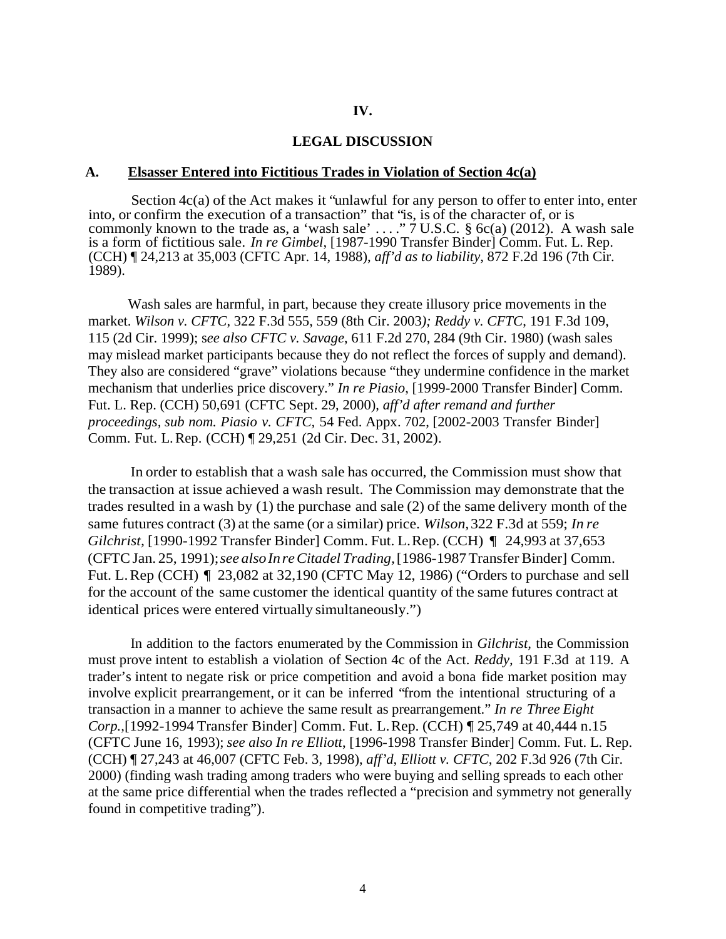## **IV.**

#### **LEGAL DISCUSSION**

#### **A. Elsasser Entered into Fictitious Trades in Violation of Section 4c(a)**

Section 4c(a) of the Act makes it "unlawful for any person to offer to enter into, enter into, or confirm the execution of a transaction" that "is, is of the character of, or is commonly known to the trade as, a 'wash sale' ...."  $7 \overline{U.S.C.}$  §  $6c(a)$  (2012). A wash sale is a form of fictitious sale. *In re Gimbel*, [1987-1990 Transfer Binder] Comm. Fut. L. Rep. (CCH) ¶ 24,213 at 35,003 (CFTC Apr. 14, 1988), *aff'd as to liability*, 872 F.2d 196 (7th Cir. 1989).

Wash sales are harmful, in part, because they create illusory price movements in the market. *Wilson v. CFTC*, 322 F.3d 555, 559 (8th Cir. 2003*); Reddy v. CFTC*, 191 F.3d 109, 115 (2d Cir. 1999); s*ee also CFTC v. Savage*, 611 F.2d 270, 284 (9th Cir. 1980) (wash sales may mislead market participants because they do not reflect the forces of supply and demand). They also are considered "grave" violations because "they undermine confidence in the market mechanism that underlies price discovery." *In re Piasio*, [1999-2000 Transfer Binder] Comm. Fut. L. Rep. (CCH) 50,691 (CFTC Sept. 29, 2000), *aff'd after remand and further proceedings, sub nom. Piasio v. CFTC,* 54 Fed. Appx. 702, [2002-2003 Transfer Binder] Comm. Fut. L.Rep. (CCH) ¶ 29,251 (2d Cir. Dec. 31, 2002).

In order to establish that a wash sale has occurred, the Commission must show that the transaction at issue achieved a wash result. The Commission may demonstrate that the trades resulted in a wash by (1) the purchase and sale (2) of the same delivery month of the same futures contract (3) at the same (or a similar) price. *Wilson,*322 F.3d at 559; *In re Gilchrist,* [1990-1992 Transfer Binder] Comm. Fut. L.Rep. (CCH) ¶ 24,993 at 37,653 (CFTC Jan. 25, 1991);*see also In reCitadel Trading,*[1986-1987 Transfer Binder] Comm. Fut. L.Rep (CCH) ¶ 23,082 at 32,190 (CFTC May 12, 1986) ("Orders to purchase and sell for the account of the same customer the identical quantity of the same futures contract at identical prices were entered virtually simultaneously.")

In addition to the factors enumerated by the Commission in *Gilchrist,* the Commission must prove intent to establish a violation of Section 4c of the Act. *Reddy,* 191 F.3d at 119. A trader's intent to negate risk or price competition and avoid a bona fide market position may involve explicit prearrangement, or it can be inferred "from the intentional structuring of a transaction in a manner to achieve the same result as prearrangement." *In re Three Eight Corp.,*[1992-1994 Transfer Binder] Comm. Fut. L.Rep. (CCH) ¶ 25,749 at 40,444 n.15 (CFTC June 16, 1993); *see also In re Elliott*, [1996-1998 Transfer Binder] Comm. Fut. L. Rep. (CCH) ¶ 27,243 at 46,007 (CFTC Feb. 3, 1998), *aff'd*, *Elliott v. CFTC*, 202 F.3d 926 (7th Cir. 2000) (finding wash trading among traders who were buying and selling spreads to each other at the same price differential when the trades reflected a "precision and symmetry not generally found in competitive trading").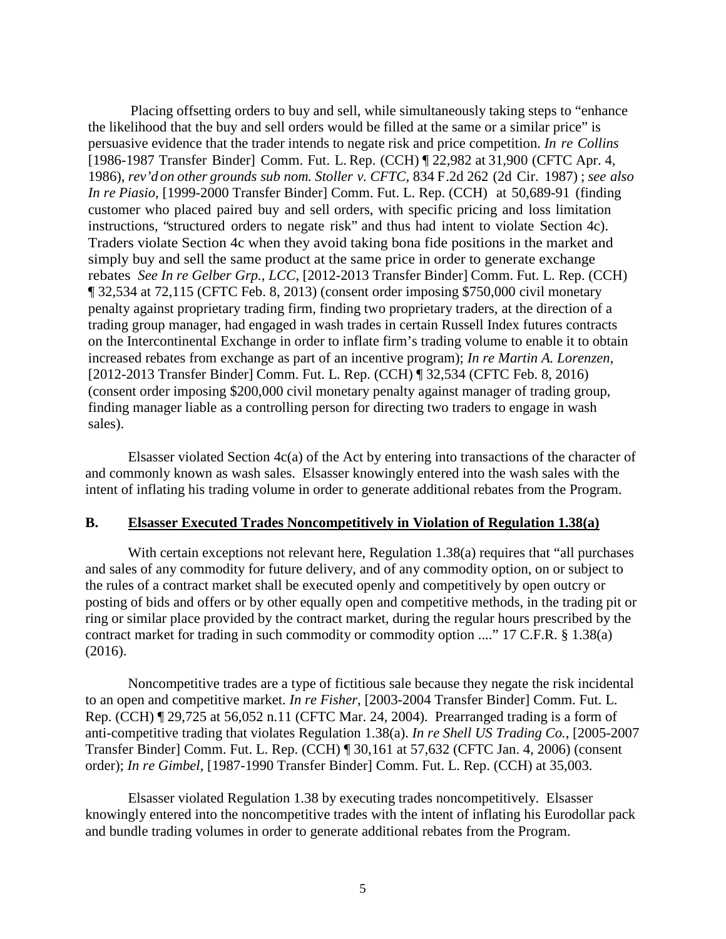Placing offsetting orders to buy and sell, while simultaneously taking steps to "enhance the likelihood that the buy and sell orders would be filled at the same or a similar price" is persuasive evidence that the trader intends to negate risk and price competition. *In re Collins* [1986-1987 Transfer Binder] Comm. Fut. L. Rep. (CCH) ¶ 22,982 at 31,900 (CFTC Apr. 4, 1986), *rev'd on other grounds sub nom. Stoller v. CFTC,* 834 F.2d 262 (2d Cir. 1987) ; *see also In re Piasio,* [1999-2000 Transfer Binder] Comm. Fut. L. Rep. (CCH) at 50,689-91 (finding customer who placed paired buy and sell orders, with specific pricing and loss limitation instructions, "structured orders to negate risk" and thus had intent to violate Section 4c). Traders violate Section 4c when they avoid taking bona fide positions in the market and simply buy and sell the same product at the same price in order to generate exchange rebates *See In re Gelber Grp., LCC*, [2012-2013 Transfer Binder] Comm. Fut. L. Rep. (CCH) ¶ 32,534 at 72,115 (CFTC Feb. 8, 2013) (consent order imposing \$750,000 civil monetary penalty against proprietary trading firm, finding two proprietary traders, at the direction of a trading group manager, had engaged in wash trades in certain Russell Index futures contracts on the Intercontinental Exchange in order to inflate firm's trading volume to enable it to obtain increased rebates from exchange as part of an incentive program); *In re Martin A. Lorenzen*, [2012-2013 Transfer Binder] Comm. Fut. L. Rep. (CCH) ¶ 32,534 (CFTC Feb. 8, 2016) (consent order imposing \$200,000 civil monetary penalty against manager of trading group, finding manager liable as a controlling person for directing two traders to engage in wash sales).

Elsasser violated Section 4c(a) of the Act by entering into transactions of the character of and commonly known as wash sales. Elsasser knowingly entered into the wash sales with the intent of inflating his trading volume in order to generate additional rebates from the Program.

### **B. Elsasser Executed Trades Noncompetitively in Violation of Regulation 1.38(a)**

With certain exceptions not relevant here, Regulation 1.38(a) requires that "all purchases" and sales of any commodity for future delivery, and of any commodity option, on or subject to the rules of a contract market shall be executed openly and competitively by open outcry or posting of bids and offers or by other equally open and competitive methods, in the trading pit or ring or similar place provided by the contract market, during the regular hours prescribed by the contract market for trading in such commodity or commodity option ...." 17 C.F.R. § 1.38(a) (2016).

Noncompetitive trades are a type of fictitious sale because they negate the risk incidental to an open and competitive market. *In re Fisher*, [2003-2004 Transfer Binder] Comm. Fut. L. Rep. (CCH) ¶ 29,725 at 56,052 n.11 (CFTC Mar. 24, 2004). Prearranged trading is a form of anti-competitive trading that violates Regulation 1.38(a). *In re Shell US Trading Co.*, [2005-2007 Transfer Binder] Comm. Fut. L. Rep. (CCH) ¶ 30,161 at 57,632 (CFTC Jan. 4, 2006) (consent order); *In re Gimbel*, [1987-1990 Transfer Binder] Comm. Fut. L. Rep. (CCH) at 35,003.

Elsasser violated Regulation 1.38 by executing trades noncompetitively. Elsasser knowingly entered into the noncompetitive trades with the intent of inflating his Eurodollar pack and bundle trading volumes in order to generate additional rebates from the Program.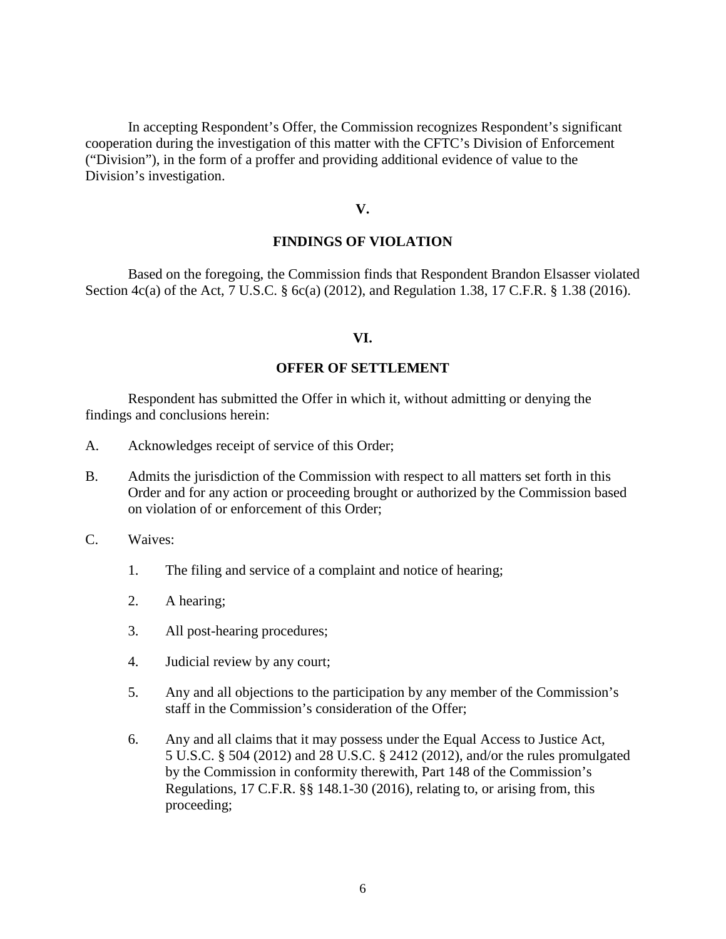In accepting Respondent's Offer, the Commission recognizes Respondent's significant cooperation during the investigation of this matter with the CFTC's Division of Enforcement ("Division"), in the form of a proffer and providing additional evidence of value to the Division's investigation.

### **V.**

### **FINDINGS OF VIOLATION**

Based on the foregoing, the Commission finds that Respondent Brandon Elsasser violated Section 4c(a) of the Act, 7 U.S.C. § 6c(a) (2012), and Regulation 1.38, 17 C.F.R. § 1.38 (2016).

### **VI.**

### **OFFER OF SETTLEMENT**

Respondent has submitted the Offer in which it, without admitting or denying the findings and conclusions herein:

- A. Acknowledges receipt of service of this Order;
- B. Admits the jurisdiction of the Commission with respect to all matters set forth in this Order and for any action or proceeding brought or authorized by the Commission based on violation of or enforcement of this Order;
- C. Waives:
	- 1. The filing and service of a complaint and notice of hearing;
	- 2. A hearing;
	- 3. All post-hearing procedures;
	- 4. Judicial review by any court;
	- 5. Any and all objections to the participation by any member of the Commission's staff in the Commission's consideration of the Offer;
	- 6. Any and all claims that it may possess under the Equal Access to Justice Act, 5 U.S.C. § 504 (2012) and 28 U.S.C. § 2412 (2012), and/or the rules promulgated by the Commission in conformity therewith, Part 148 of the Commission's Regulations, 17 C.F.R. §§ 148.1-30 (2016), relating to, or arising from, this proceeding;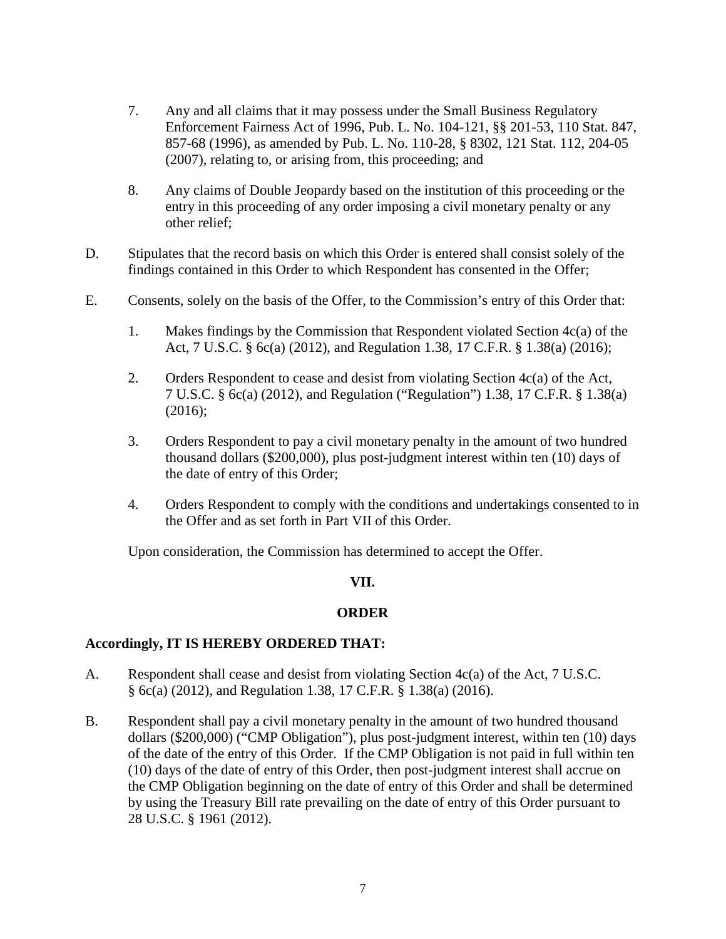- 7. Any and all claims that it may possess under the Small Business Regulatory Enforcement Fairness Act of 1996, Pub. L. No. 104-121, §§ 201-53, 110 Stat. 847, 857-68 (1996), as amended by Pub. L. No. 110-28, § 8302, 121 Stat. 112, 204-05 (2007), relating to, or arising from, this proceeding; and
- 8. Any claims of Double Jeopardy based on the institution of this proceeding or the entry in this proceeding of any order imposing a civil monetary penalty or any other relief;
- D. Stipulates that the record basis on which this Order is entered shall consist solely of the findings contained in this Order to which Respondent has consented in the Offer;
- E. Consents, solely on the basis of the Offer, to the Commission's entry of this Order that:
	- 1. Makes findings by the Commission that Respondent violated Section 4c(a) of the Act, 7 U.S.C. § 6c(a) (2012), and Regulation 1.38, 17 C.F.R. § 1.38(a) (2016);
	- 2. Orders Respondent to cease and desist from violating Section 4c(a) of the Act, 7 U.S.C. § 6c(a) (2012), and Regulation ("Regulation") 1.38, 17 C.F.R. § 1.38(a) (2016);
	- 3. Orders Respondent to pay a civil monetary penalty in the amount of two hundred thousand dollars (\$200,000), plus post-judgment interest within ten (10) days of the date of entry of this Order;
	- 4. Orders Respondent to comply with the conditions and undertakings consented to in the Offer and as set forth in Part VII of this Order.

Upon consideration, the Commission has determined to accept the Offer.

## **VII.**

## **ORDER**

## **Accordingly, IT IS HEREBY ORDERED THAT:**

- A. Respondent shall cease and desist from violating Section 4c(a) of the Act, 7 U.S.C. § 6c(a) (2012), and Regulation 1.38, 17 C.F.R. § 1.38(a) (2016).
- B. Respondent shall pay a civil monetary penalty in the amount of two hundred thousand dollars (\$200,000) ("CMP Obligation"), plus post-judgment interest, within ten (10) days of the date of the entry of this Order. If the CMP Obligation is not paid in full within ten (10) days of the date of entry of this Order, then post-judgment interest shall accrue on the CMP Obligation beginning on the date of entry of this Order and shall be determined by using the Treasury Bill rate prevailing on the date of entry of this Order pursuant to 28 U.S.C. § 1961 (2012).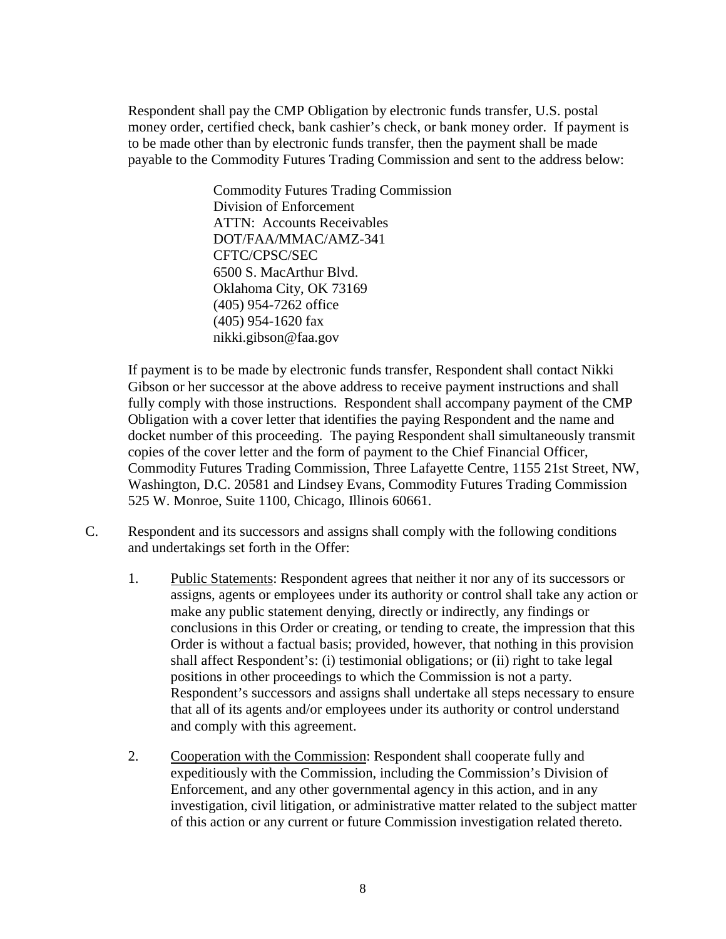Respondent shall pay the CMP Obligation by electronic funds transfer, U.S. postal money order, certified check, bank cashier's check, or bank money order. If payment is to be made other than by electronic funds transfer, then the payment shall be made payable to the Commodity Futures Trading Commission and sent to the address below:

> Commodity Futures Trading Commission Division of Enforcement ATTN: Accounts Receivables DOT/FAA/MMAC/AMZ-341 CFTC/CPSC/SEC 6500 S. MacArthur Blvd. Oklahoma City, OK 73169 (405) 954-7262 office (405) 954-1620 fax nikki.gibson@faa.gov

 If payment is to be made by electronic funds transfer, Respondent shall contact Nikki Gibson or her successor at the above address to receive payment instructions and shall fully comply with those instructions. Respondent shall accompany payment of the CMP Obligation with a cover letter that identifies the paying Respondent and the name and docket number of this proceeding. The paying Respondent shall simultaneously transmit copies of the cover letter and the form of payment to the Chief Financial Officer, Commodity Futures Trading Commission, Three Lafayette Centre, 1155 21st Street, NW, Washington, D.C. 20581 and Lindsey Evans, Commodity Futures Trading Commission 525 W. Monroe, Suite 1100, Chicago, Illinois 60661.

- C. Respondent and its successors and assigns shall comply with the following conditions and undertakings set forth in the Offer:
	- 1. Public Statements: Respondent agrees that neither it nor any of its successors or assigns, agents or employees under its authority or control shall take any action or make any public statement denying, directly or indirectly, any findings or conclusions in this Order or creating, or tending to create, the impression that this Order is without a factual basis; provided, however, that nothing in this provision shall affect Respondent's: (i) testimonial obligations; or (ii) right to take legal positions in other proceedings to which the Commission is not a party. Respondent's successors and assigns shall undertake all steps necessary to ensure that all of its agents and/or employees under its authority or control understand and comply with this agreement.
	- 2. Cooperation with the Commission: Respondent shall cooperate fully and expeditiously with the Commission, including the Commission's Division of Enforcement, and any other governmental agency in this action, and in any investigation, civil litigation, or administrative matter related to the subject matter of this action or any current or future Commission investigation related thereto.